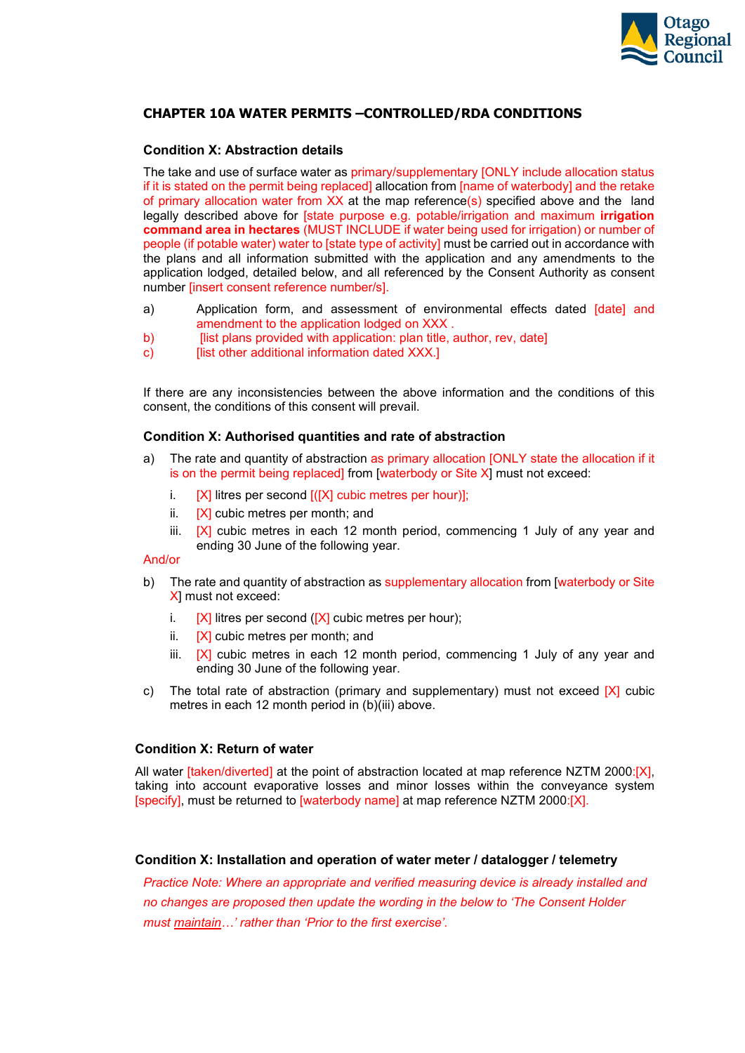

# **CHAPTER 10A WATER PERMITS –CONTROLLED/RDA CONDITIONS**

## **Condition X: Abstraction details**

The take and use of surface water as primary/supplementary [ONLY include allocation status if it is stated on the permit being replaced] allocation from [name of waterbody] and the retake of primary allocation water from XX at the map reference(s) specified above and the land legally described above for [state purpose e.g. potable/irrigation and maximum **irrigation command area in hectares** (MUST INCLUDE if water being used for irrigation) or number of people (if potable water) water to [state type of activity] must be carried out in accordance with the plans and all information submitted with the application and any amendments to the application lodged, detailed below, and all referenced by the Consent Authority as consent number [insert consent reference number/s].

- a) Application form, and assessment of environmental effects dated [date] and amendment to the application lodged on XXX .
- b) [list plans provided with application: plan title, author, rev, date]
- $\overline{c}$   $\overline{c}$   $\overline{c}$   $\overline{c}$   $\overline{c}$   $\overline{c}$   $\overline{c}$   $\overline{c}$   $\overline{c}$   $\overline{c}$   $\overline{c}$   $\overline{c}$   $\overline{c}$   $\overline{c}$   $\overline{c}$   $\overline{c}$   $\overline{c}$   $\overline{c}$   $\overline{c}$   $\overline{c}$   $\overline{c}$   $\overline{c}$   $\overline{c}$   $\overline{c}$   $\overline{$

If there are any inconsistencies between the above information and the conditions of this consent, the conditions of this consent will prevail.

### **Condition X: Authorised quantities and rate of abstraction**

- a) The rate and quantity of abstraction as primary allocation [ONLY state the allocation if it is on the permit being replaced] from [waterbody or Site X] must not exceed:
	- i.  $[X]$  litres per second  $[(X]$  cubic metres per hour)];
	- ii.  $[X]$  cubic metres per month; and
	- iii.  $[X]$  cubic metres in each 12 month period, commencing 1 July of any year and ending 30 June of the following year.

## And/or

- b) The rate and quantity of abstraction as supplementary allocation from [waterbody or Site X] must not exceed:
	- i.  $[X]$  litres per second ( $[X]$  cubic metres per hour);
	- ii.  $[X]$  cubic metres per month; and
	- iii.  $[X]$  cubic metres in each 12 month period, commencing 1 July of any year and ending 30 June of the following year.
- c) The total rate of abstraction (primary and supplementary) must not exceed  $[X]$  cubic metres in each 12 month period in (b)(iii) above.

## **Condition X: Return of water**

All water [taken/diverted] at the point of abstraction located at map reference NZTM 2000:[X], taking into account evaporative losses and minor losses within the conveyance system [specify], must be returned to [waterbody name] at map reference NZTM 2000:[X].

## **Condition X: Installation and operation of water meter / datalogger / telemetry**

*Practice Note: Where an appropriate and verified measuring device is already installed and no changes are proposed then update the wording in the below to 'The Consent Holder must maintain…' rather than 'Prior to the first exercise'.*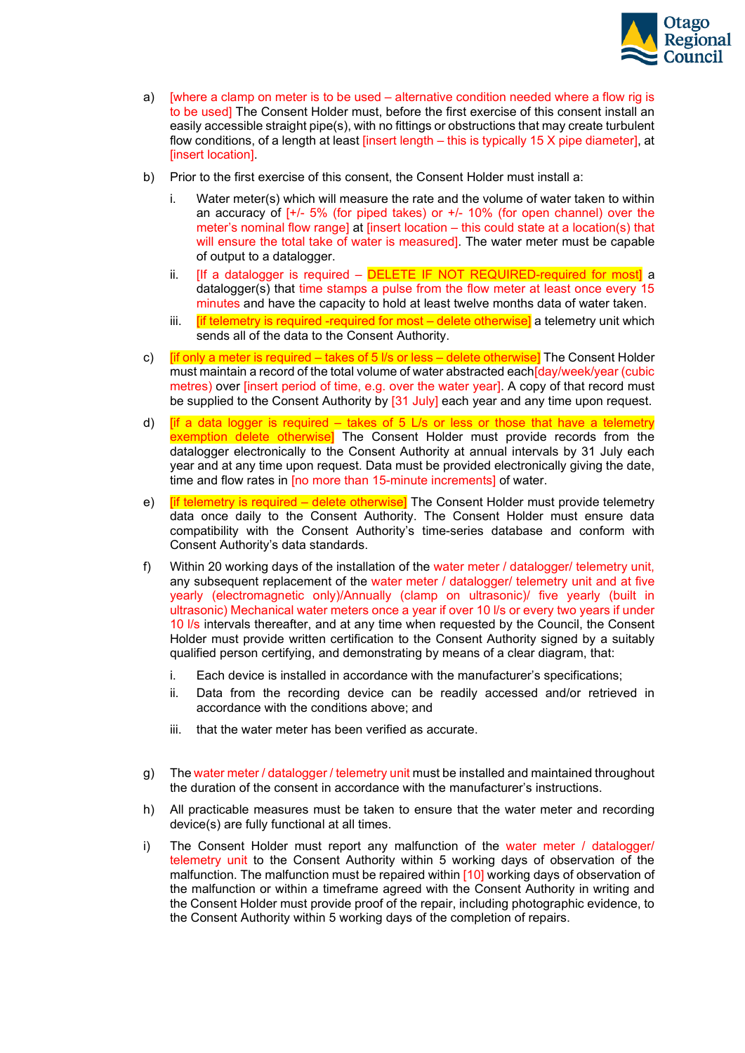

- a) [where a clamp on meter is to be used alternative condition needed where a flow rig is to be used] The Consent Holder must, before the first exercise of this consent install an easily accessible straight pipe(s), with no fittings or obstructions that may create turbulent flow conditions, of a length at least [insert length – this is typically 15 X pipe diameter], at [insert location].
- b) Prior to the first exercise of this consent, the Consent Holder must install a:
	- i. Water meter(s) which will measure the rate and the volume of water taken to within an accuracy of  $[-1]$  5% (for piped takes) or  $+/-10$ % (for open channel) over the meter's nominal flow range] at [insert location – this could state at a location(s) that will ensure the total take of water is measured]. The water meter must be capable of output to a datalogger.
	- ii. [If a datalogger is required  $-$  DELETE IF NOT REQUIRED-required for most] a datalogger(s) that time stamps a pulse from the flow meter at least once every 15 minutes and have the capacity to hold at least twelve months data of water taken.
	- iii.  $[$ if telemetry is required -required for most delete otherwise] a telemetry unit which sends all of the data to the Consent Authority.
- c)  $\frac{1}{2}$  [if only a meter is required takes of 5 l/s or less delete otherwise] The Consent Holder must maintain a record of the total volume of water abstracted each[day/week/year (cubic metres) over [insert period of time, e.g. over the water year]. A copy of that record must be supplied to the Consent Authority by [31 July] each year and any time upon request.
- d) **If a data logger is required takes of 5 L/s or less or those that have a telemetry** exemption delete otherwise] The Consent Holder must provide records from the datalogger electronically to the Consent Authority at annual intervals by 31 July each year and at any time upon request. Data must be provided electronically giving the date, time and flow rates in [no more than 15-minute increments] of water.
- e) **If telemetry is required delete otherwise** The Consent Holder must provide telemetry data once daily to the Consent Authority. The Consent Holder must ensure data compatibility with the Consent Authority's time-series database and conform with Consent Authority's data standards.
- f) Within 20 working days of the installation of the water meter / datalogger/ telemetry unit, any subsequent replacement of the water meter / datalogger/ telemetry unit and at five yearly (electromagnetic only)/Annually (clamp on ultrasonic)/ five yearly (built in ultrasonic) Mechanical water meters once a year if over 10 l/s or every two years if under 10 l/s intervals thereafter, and at any time when requested by the Council, the Consent Holder must provide written certification to the Consent Authority signed by a suitably qualified person certifying, and demonstrating by means of a clear diagram, that:
	- i. Each device is installed in accordance with the manufacturer's specifications;
	- ii. Data from the recording device can be readily accessed and/or retrieved in accordance with the conditions above; and
	- iii. that the water meter has been verified as accurate.
- g) The water meter / datalogger / telemetry unit must be installed and maintained throughout the duration of the consent in accordance with the manufacturer's instructions.
- h) All practicable measures must be taken to ensure that the water meter and recording device(s) are fully functional at all times.
- i) The Consent Holder must report any malfunction of the water meter / datalogger/ telemetry unit to the Consent Authority within 5 working days of observation of the malfunction. The malfunction must be repaired within [10] working days of observation of the malfunction or within a timeframe agreed with the Consent Authority in writing and the Consent Holder must provide proof of the repair, including photographic evidence, to the Consent Authority within 5 working days of the completion of repairs.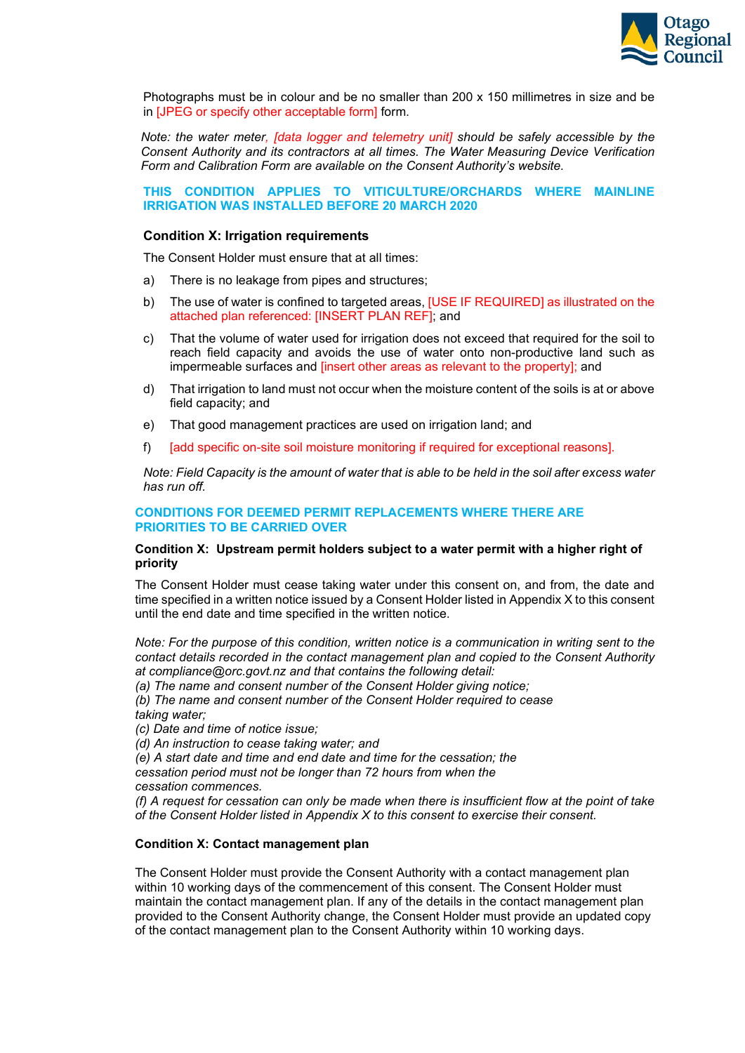

Photographs must be in colour and be no smaller than 200 x 150 millimetres in size and be in [JPEG or specify other acceptable form] form.

*Note: the water meter, [data logger and telemetry unit] should be safely accessible by the Consent Authority and its contractors at all times. The Water Measuring Device Verification Form and Calibration Form are available on the Consent Authority's website.*

### **THIS CONDITION APPLIES TO VITICULTURE/ORCHARDS WHERE MAINLINE IRRIGATION WAS INSTALLED BEFORE 20 MARCH 2020**

### **Condition X: Irrigation requirements**

The Consent Holder must ensure that at all times:

- a) There is no leakage from pipes and structures;
- b) The use of water is confined to targeted areas, [USE IF REQUIRED] as illustrated on the attached plan referenced: [INSERT PLAN REF]; and
- c) That the volume of water used for irrigation does not exceed that required for the soil to reach field capacity and avoids the use of water onto non-productive land such as impermeable surfaces and [insert other areas as relevant to the property]; and
- d) That irrigation to land must not occur when the moisture content of the soils is at or above field capacity; and
- e) That good management practices are used on irrigation land; and
- f) [add specific on-site soil moisture monitoring if required for exceptional reasons].

*Note: Field Capacity is the amount of water that is able to be held in the soil after excess water has run off.*

### **CONDITIONS FOR DEEMED PERMIT REPLACEMENTS WHERE THERE ARE PRIORITIES TO BE CARRIED OVER**

### **Condition X: Upstream permit holders subject to a water permit with a higher right of priority**

The Consent Holder must cease taking water under this consent on, and from, the date and time specified in a written notice issued by a Consent Holder listed in Appendix X to this consent until the end date and time specified in the written notice.

*Note: For the purpose of this condition, written notice is a communication in writing sent to the contact details recorded in the contact management plan and copied to the Consent Authority at compliance@orc.govt.nz and that contains the following detail:*

*(a) The name and consent number of the Consent Holder giving notice;*

*(b) The name and consent number of the Consent Holder required to cease taking water;*

*(c) Date and time of notice issue;*

*(d) An instruction to cease taking water; and*

*(e) A start date and time and end date and time for the cessation; the cessation period must not be longer than 72 hours from when the* 

*cessation commences.*

*(f) A request for cessation can only be made when there is insufficient flow at the point of take of the Consent Holder listed in Appendix X to this consent to exercise their consent.*

### **Condition X: Contact management plan**

The Consent Holder must provide the Consent Authority with a contact management plan within 10 working days of the commencement of this consent. The Consent Holder must maintain the contact management plan. If any of the details in the contact management plan provided to the Consent Authority change, the Consent Holder must provide an updated copy of the contact management plan to the Consent Authority within 10 working days.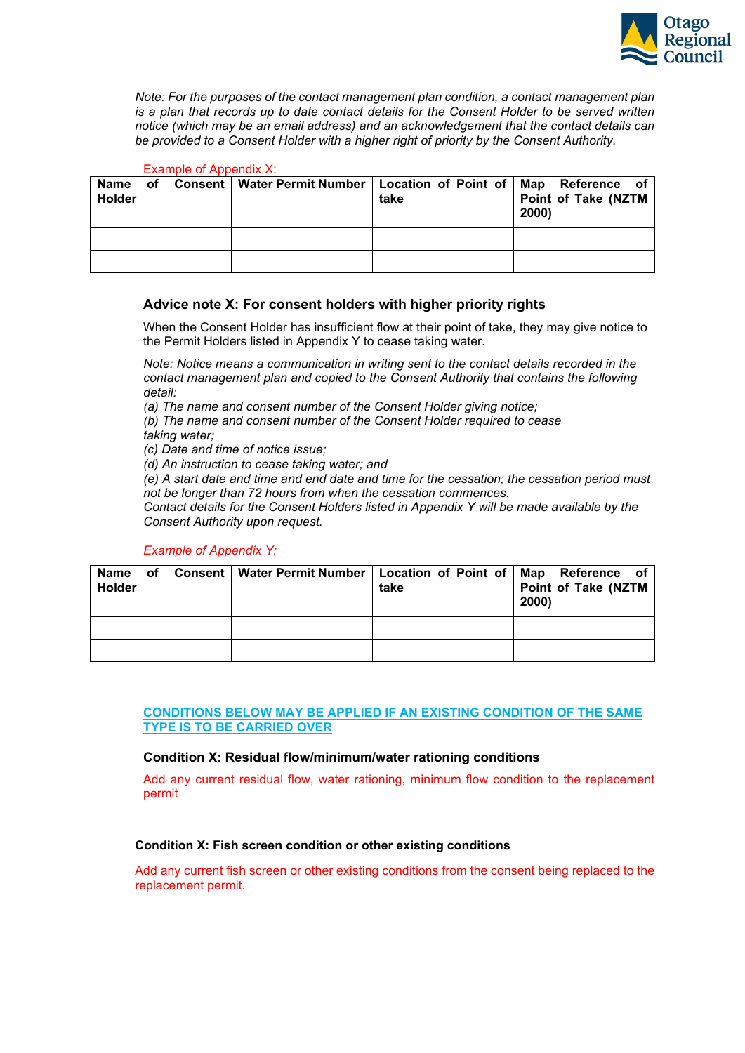

*Note: For the purposes of the contact management plan condition, a contact management plan is a plan that records up to date contact details for the Consent Holder to be served written notice (which may be an email address) and an acknowledgement that the contact details can be provided to a Consent Holder with a higher right of priority by the Consent Authority.*

## Example of Appendix X:

| Name<br><b>Holder</b> | of . | Consent   Water Permit Number   Location of Point of   Map Reference of | take | Point of Take (NZTM<br>2000) |
|-----------------------|------|-------------------------------------------------------------------------|------|------------------------------|
|                       |      |                                                                         |      |                              |
|                       |      |                                                                         |      |                              |

# **Advice note X: For consent holders with higher priority rights**

When the Consent Holder has insufficient flow at their point of take, they may give notice to the Permit Holders listed in Appendix Y to cease taking water.

*Note: Notice means a communication in writing sent to the contact details recorded in the contact management plan and copied to the Consent Authority that contains the following detail:*

*(a) The name and consent number of the Consent Holder giving notice;*

*(b) The name and consent number of the Consent Holder required to cease taking water;*

*(c) Date and time of notice issue;*

*(d) An instruction to cease taking water; and*

*(e) A start date and time and end date and time for the cessation; the cessation period must not be longer than 72 hours from when the cessation commences.*

*Contact details for the Consent Holders listed in Appendix Y will be made available by the Consent Authority upon request.*

## *Example of Appendix Y:*

| Name<br><b>Holder</b> | оf | Consent   Water Permit Number   Location of Point of   Map Reference of | take | Point of Take (NZTM<br>2000) |
|-----------------------|----|-------------------------------------------------------------------------|------|------------------------------|
|                       |    |                                                                         |      |                              |
|                       |    |                                                                         |      |                              |

### **CONDITIONS BELOW MAY BE APPLIED IF AN EXISTING CONDITION OF THE SAME TYPE IS TO BE CARRIED OVER**

## **Condition X: Residual flow/minimum/water rationing conditions**

Add any current residual flow, water rationing, minimum flow condition to the replacement permit

## **Condition X: Fish screen condition or other existing conditions**

Add any current fish screen or other existing conditions from the consent being replaced to the replacement permit.